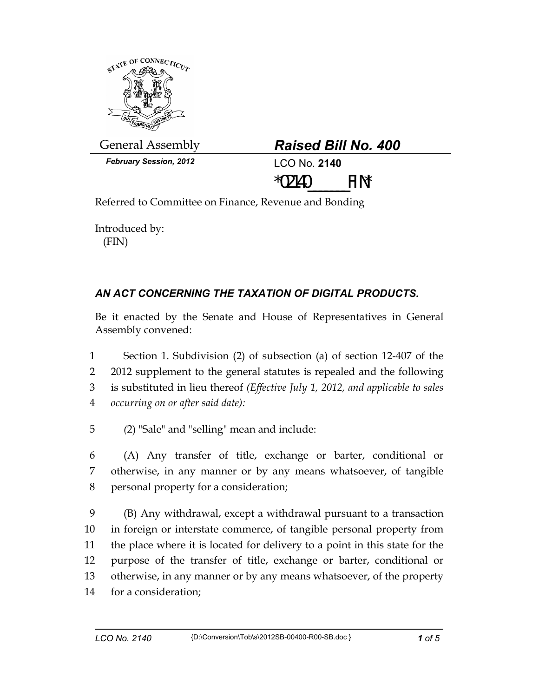

General Assembly *Raised Bill No. 400* 

| <b>Raised Bill No. 400</b> |  |  |  |
|----------------------------|--|--|--|
|----------------------------|--|--|--|

*February Session, 2012* LCO No. **2140**



Referred to Committee on Finance, Revenue and Bonding

Introduced by: (FIN)

## *AN ACT CONCERNING THE TAXATION OF DIGITAL PRODUCTS.*

Be it enacted by the Senate and House of Representatives in General Assembly convened:

1 Section 1. Subdivision (2) of subsection (a) of section 12-407 of the 2 2012 supplement to the general statutes is repealed and the following 3 is substituted in lieu thereof *(Effective July 1, 2012, and applicable to sales*  4 *occurring on or after said date):* 

5 *(*2) "Sale" and "selling" mean and include:

6 (A) Any transfer of title, exchange or barter, conditional or 7 otherwise, in any manner or by any means whatsoever, of tangible 8 personal property for a consideration;

9 (B) Any withdrawal, except a withdrawal pursuant to a transaction 10 in foreign or interstate commerce, of tangible personal property from 11 the place where it is located for delivery to a point in this state for the 12 purpose of the transfer of title, exchange or barter, conditional or 13 otherwise, in any manner or by any means whatsoever, of the property 14 for a consideration;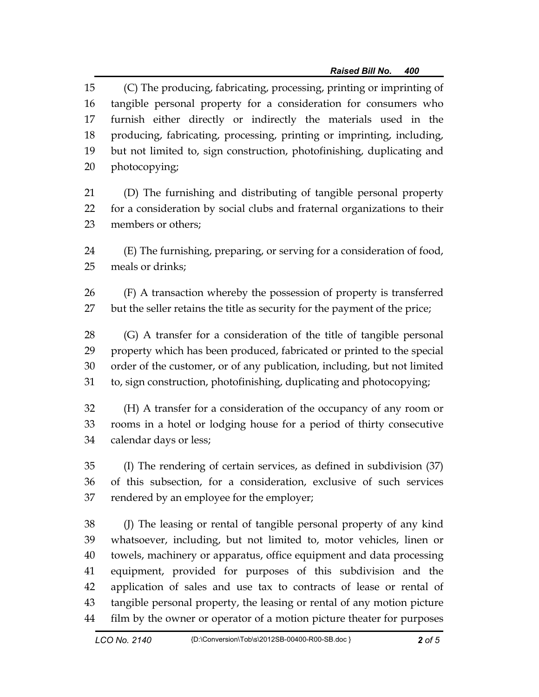15 (C) The producing, fabricating, processing, printing or imprinting of 16 tangible personal property for a consideration for consumers who 17 furnish either directly or indirectly the materials used in the 18 producing, fabricating, processing, printing or imprinting, including, 19 but not limited to, sign construction, photofinishing, duplicating and 20 photocopying;

- 21 (D) The furnishing and distributing of tangible personal property 22 for a consideration by social clubs and fraternal organizations to their 23 members or others;
- 24 (E) The furnishing, preparing, or serving for a consideration of food, 25 meals or drinks;

26 (F) A transaction whereby the possession of property is transferred 27 but the seller retains the title as security for the payment of the price;

28 (G) A transfer for a consideration of the title of tangible personal 29 property which has been produced, fabricated or printed to the special 30 order of the customer, or of any publication, including, but not limited 31 to, sign construction, photofinishing, duplicating and photocopying;

32 (H) A transfer for a consideration of the occupancy of any room or 33 rooms in a hotel or lodging house for a period of thirty consecutive 34 calendar days or less;

35 (I) The rendering of certain services, as defined in subdivision (37) 36 of this subsection, for a consideration, exclusive of such services 37 rendered by an employee for the employer;

38 (J) The leasing or rental of tangible personal property of any kind 39 whatsoever, including, but not limited to, motor vehicles, linen or 40 towels, machinery or apparatus, office equipment and data processing 41 equipment, provided for purposes of this subdivision and the 42 application of sales and use tax to contracts of lease or rental of 43 tangible personal property, the leasing or rental of any motion picture 44 film by the owner or operator of a motion picture theater for purposes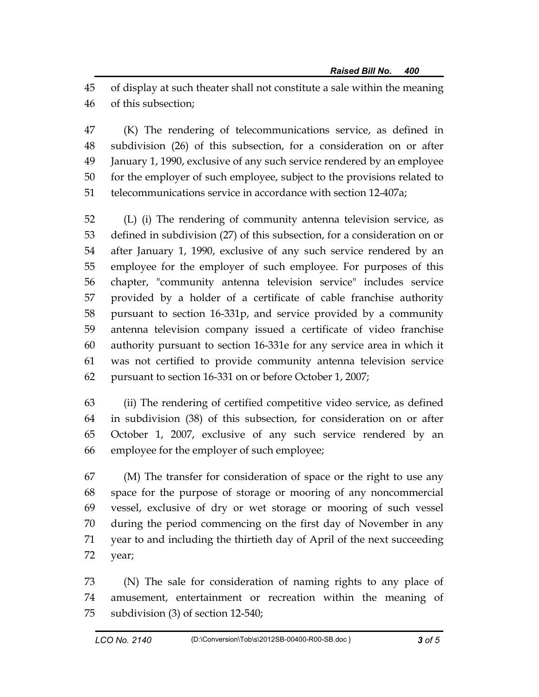45 of display at such theater shall not constitute a sale within the meaning 46 of this subsection;

47 (K) The rendering of telecommunications service, as defined in 48 subdivision (26) of this subsection, for a consideration on or after 49 January 1, 1990, exclusive of any such service rendered by an employee 50 for the employer of such employee, subject to the provisions related to 51 telecommunications service in accordance with section 12-407a;

52 (L) (i) The rendering of community antenna television service, as 53 defined in subdivision (27) of this subsection, for a consideration on or 54 after January 1, 1990, exclusive of any such service rendered by an 55 employee for the employer of such employee. For purposes of this 56 chapter, "community antenna television service" includes service 57 provided by a holder of a certificate of cable franchise authority 58 pursuant to section 16-331p, and service provided by a community 59 antenna television company issued a certificate of video franchise 60 authority pursuant to section 16-331e for any service area in which it 61 was not certified to provide community antenna television service 62 pursuant to section 16-331 on or before October 1, 2007;

63 (ii) The rendering of certified competitive video service, as defined 64 in subdivision (38) of this subsection, for consideration on or after 65 October 1, 2007, exclusive of any such service rendered by an 66 employee for the employer of such employee;

67 (M) The transfer for consideration of space or the right to use any 68 space for the purpose of storage or mooring of any noncommercial 69 vessel, exclusive of dry or wet storage or mooring of such vessel 70 during the period commencing on the first day of November in any 71 year to and including the thirtieth day of April of the next succeeding 72 year;

73 (N) The sale for consideration of naming rights to any place of 74 amusement, entertainment or recreation within the meaning of 75 subdivision (3) of section 12-540;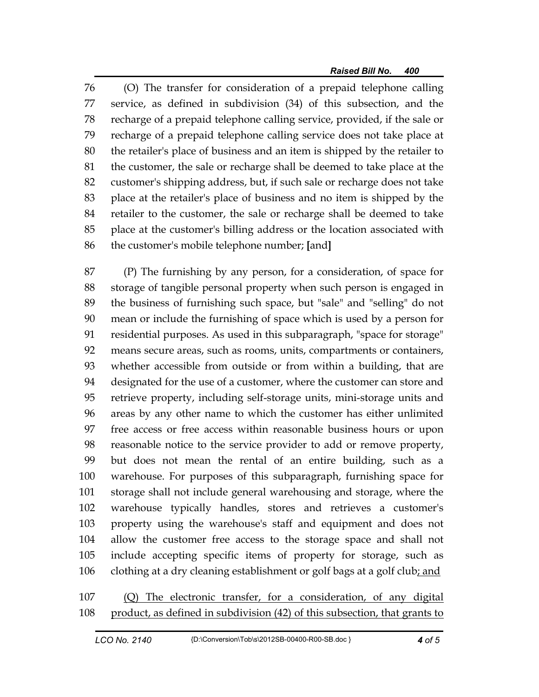76 (O) The transfer for consideration of a prepaid telephone calling 77 service, as defined in subdivision (34) of this subsection, and the 78 recharge of a prepaid telephone calling service, provided, if the sale or 79 recharge of a prepaid telephone calling service does not take place at 80 the retailer's place of business and an item is shipped by the retailer to 81 the customer, the sale or recharge shall be deemed to take place at the 82 customer's shipping address, but, if such sale or recharge does not take 83 place at the retailer's place of business and no item is shipped by the 84 retailer to the customer, the sale or recharge shall be deemed to take 85 place at the customer's billing address or the location associated with 86 the customer's mobile telephone number; **[**and**]**

87 (P) The furnishing by any person, for a consideration, of space for 88 storage of tangible personal property when such person is engaged in 89 the business of furnishing such space, but "sale" and "selling" do not 90 mean or include the furnishing of space which is used by a person for 91 residential purposes. As used in this subparagraph, "space for storage" 92 means secure areas, such as rooms, units, compartments or containers, 93 whether accessible from outside or from within a building, that are 94 designated for the use of a customer, where the customer can store and 95 retrieve property, including self-storage units, mini-storage units and 96 areas by any other name to which the customer has either unlimited 97 free access or free access within reasonable business hours or upon 98 reasonable notice to the service provider to add or remove property, 99 but does not mean the rental of an entire building, such as a 100 warehouse. For purposes of this subparagraph, furnishing space for 101 storage shall not include general warehousing and storage, where the 102 warehouse typically handles, stores and retrieves a customer's 103 property using the warehouse's staff and equipment and does not 104 allow the customer free access to the storage space and shall not 105 include accepting specific items of property for storage, such as 106 clothing at a dry cleaning establishment or golf bags at a golf club; and

107 (Q) The electronic transfer, for a consideration, of any digital 108 product, as defined in subdivision (42) of this subsection, that grants to